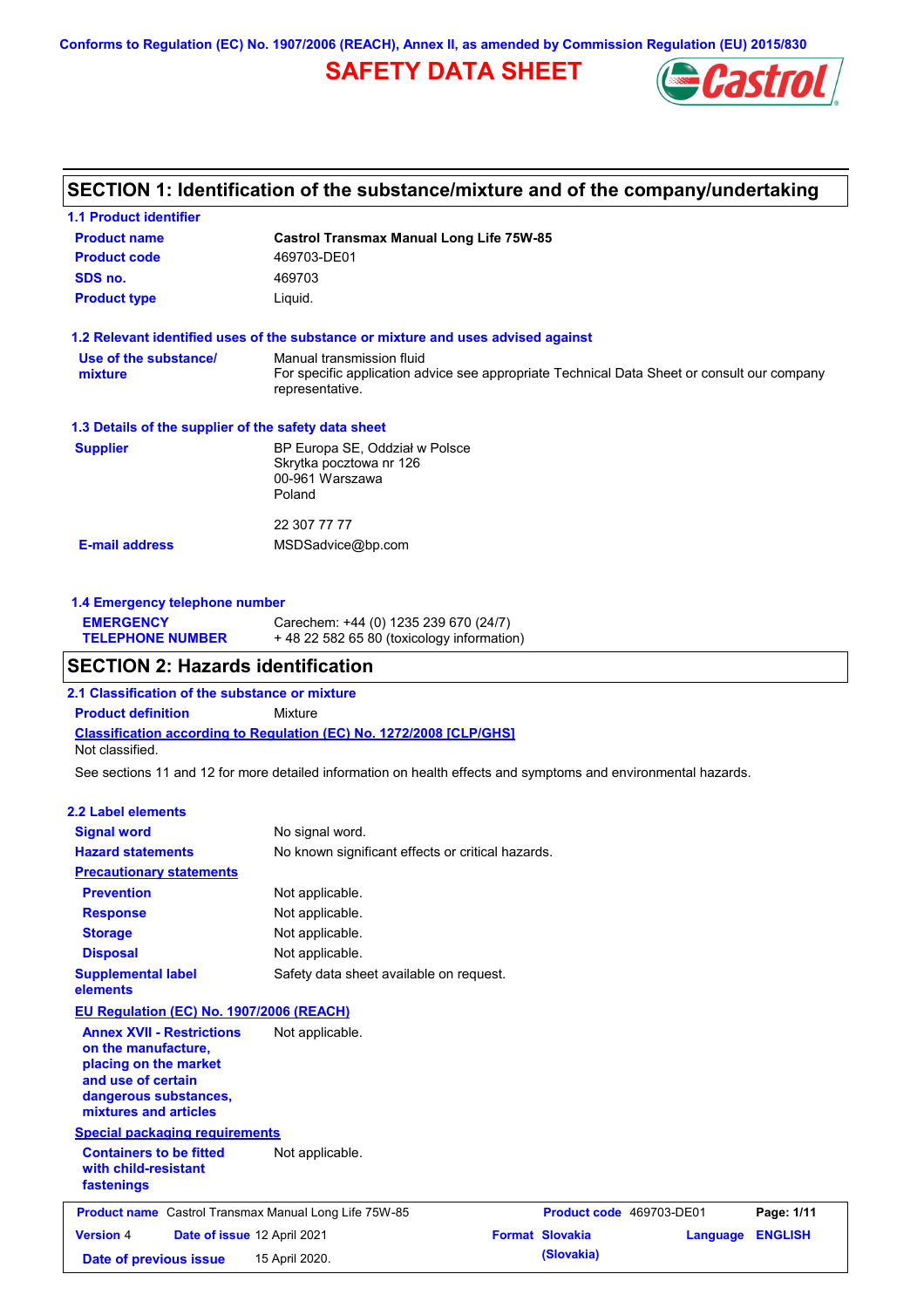**Conforms to Regulation (EC) No. 1907/2006 (REACH), Annex II, as amended by Commission Regulation (EU) 2015/830**

# **SAFETY DATA SHEET**



## **SECTION 1: Identification of the substance/mixture and of the company/undertaking**

| <b>1.1 Product identifier</b>                        |                                                                                                                                             |  |
|------------------------------------------------------|---------------------------------------------------------------------------------------------------------------------------------------------|--|
| <b>Product name</b>                                  | <b>Castrol Transmax Manual Long Life 75W-85</b>                                                                                             |  |
| <b>Product code</b>                                  | 469703-DE01                                                                                                                                 |  |
| SDS no.                                              | 469703                                                                                                                                      |  |
| <b>Product type</b>                                  | Liquid.                                                                                                                                     |  |
|                                                      | 1.2 Relevant identified uses of the substance or mixture and uses advised against                                                           |  |
| Use of the substance/<br>mixture                     | Manual transmission fluid<br>For specific application advice see appropriate Technical Data Sheet or consult our company<br>representative. |  |
| 1.3 Details of the supplier of the safety data sheet |                                                                                                                                             |  |
| <b>Supplier</b>                                      | BP Europa SE, Oddział w Polsce<br>Skrytka pocztowa nr 126<br>00-961 Warszawa<br>Poland                                                      |  |
|                                                      | 22 307 77 77                                                                                                                                |  |
| <b>E-mail address</b>                                | MSDSadvice@bp.com                                                                                                                           |  |
|                                                      |                                                                                                                                             |  |

### **1.4 Emergency telephone number**

| <b>EMERGENCY</b>        | Carechem: +44 (0) 1235 239 670 (24/7)       |
|-------------------------|---------------------------------------------|
| <b>TELEPHONE NUMBER</b> | $+48$ 22 582 65 80 (toxicology information) |

### **SECTION 2: Hazards identification**

**2.1 Classification of the substance or mixture**

**Classification according to Regulation (EC) No. 1272/2008 [CLP/GHS] Product definition** Mixture Not classified.

See sections 11 and 12 for more detailed information on health effects and symptoms and environmental hazards.

#### **2.2 Label elements**

| <b>Signal word</b><br><b>Hazard statements</b>                                                                                                           | No signal word.<br>No known significant effects or critical hazards. |                          |          |                |
|----------------------------------------------------------------------------------------------------------------------------------------------------------|----------------------------------------------------------------------|--------------------------|----------|----------------|
| <b>Precautionary statements</b>                                                                                                                          |                                                                      |                          |          |                |
| <b>Prevention</b>                                                                                                                                        | Not applicable.                                                      |                          |          |                |
| <b>Response</b>                                                                                                                                          | Not applicable.                                                      |                          |          |                |
| <b>Storage</b>                                                                                                                                           | Not applicable.                                                      |                          |          |                |
| <b>Disposal</b>                                                                                                                                          | Not applicable.                                                      |                          |          |                |
| <b>Supplemental label</b><br>elements                                                                                                                    | Safety data sheet available on request.                              |                          |          |                |
| <b>EU Regulation (EC) No. 1907/2006 (REACH)</b>                                                                                                          |                                                                      |                          |          |                |
| <b>Annex XVII - Restrictions</b><br>on the manufacture,<br>placing on the market<br>and use of certain<br>dangerous substances,<br>mixtures and articles | Not applicable.                                                      |                          |          |                |
| <b>Special packaging requirements</b>                                                                                                                    |                                                                      |                          |          |                |
| <b>Containers to be fitted</b><br>with child-resistant<br>fastenings                                                                                     | Not applicable.                                                      |                          |          |                |
| <b>Product name</b> Castrol Transmax Manual Long Life 75W-85                                                                                             |                                                                      | Product code 469703-DE01 |          | Page: 1/11     |
| <b>Version 4</b><br>Date of issue 12 April 2021                                                                                                          |                                                                      | <b>Format Slovakia</b>   | Language | <b>ENGLISH</b> |
| Date of previous issue                                                                                                                                   | 15 April 2020.                                                       | (Slovakia)               |          |                |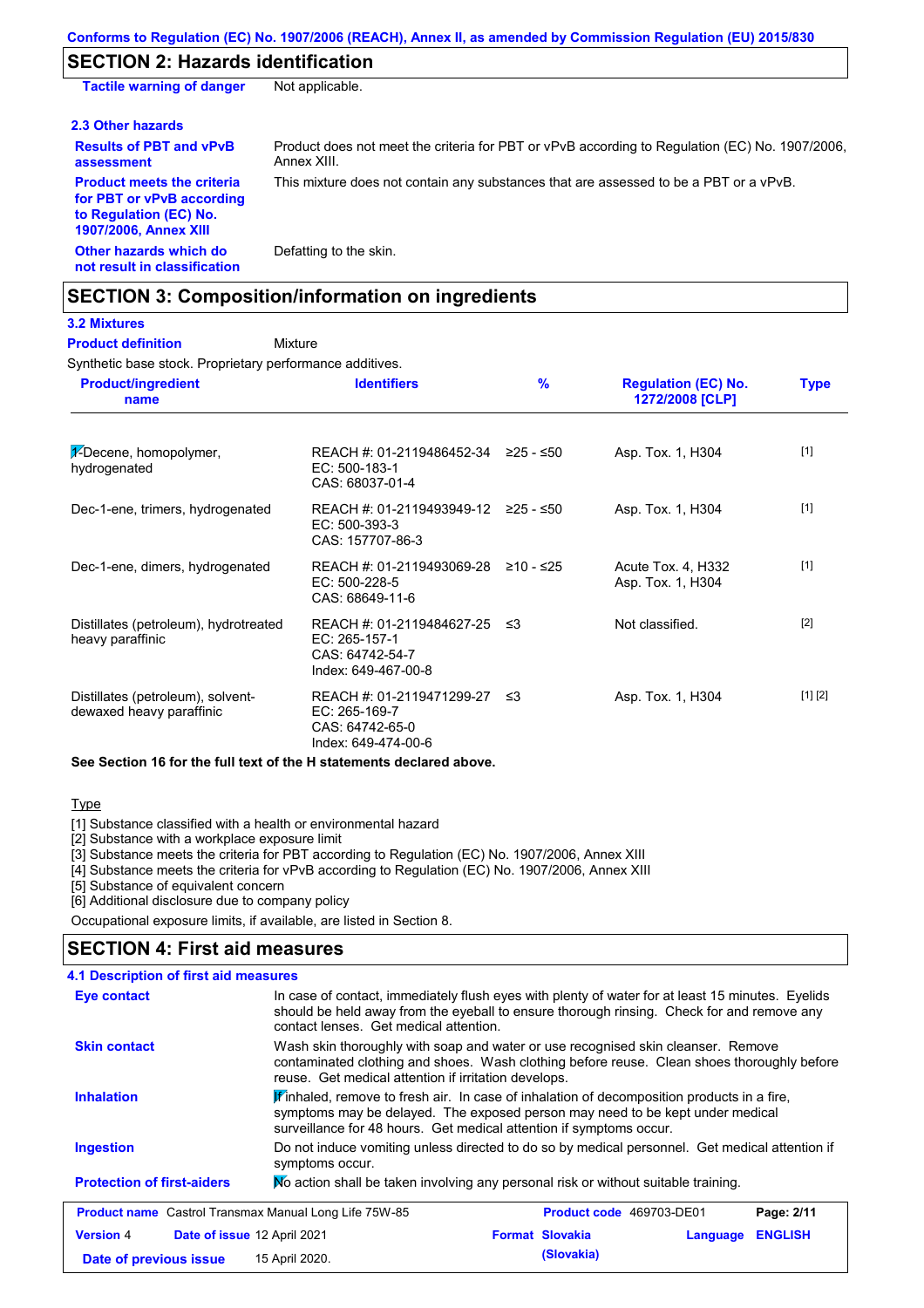## **SECTION 2: Hazards identification**

**Tactile warning of danger** Not applicable.

| 2.3 Other hazards                                                                                                        |                                                                                                               |
|--------------------------------------------------------------------------------------------------------------------------|---------------------------------------------------------------------------------------------------------------|
| <b>Results of PBT and vPvB</b><br>assessment                                                                             | Product does not meet the criteria for PBT or vPvB according to Regulation (EC) No. 1907/2006.<br>Annex XIII. |
| <b>Product meets the criteria</b><br>for PBT or vPvB according<br>to Regulation (EC) No.<br><b>1907/2006, Annex XIII</b> | This mixture does not contain any substances that are assessed to be a PBT or a vPvB.                         |

**Other hazards which do not result in classification** Defatting to the skin.

### **SECTION 3: Composition/information on ingredients**

### **3.2 Mixtures**

Mixture **Product definition**

Synthetic base stock. Proprietary performance additives.

| <b>Product/ingredient</b><br>name                             | <b>Identifiers</b>                                                                      | $\frac{9}{6}$ | <b>Regulation (EC) No.</b><br>1272/2008 [CLP] | <b>Type</b> |
|---------------------------------------------------------------|-----------------------------------------------------------------------------------------|---------------|-----------------------------------------------|-------------|
| $\frac{1}{2}$ -Decene, homopolymer,<br>hydrogenated           | REACH #: 01-2119486452-34 $\geq$ 25 - $\leq$ 50<br>EC: 500-183-1<br>CAS: 68037-01-4     |               | Asp. Tox. 1, H304                             | $[1]$       |
| Dec-1-ene, trimers, hydrogenated                              | REACH #: 01-2119493949-12 ≥25 - ≤50<br>$EC: 500-393-3$<br>CAS: 157707-86-3              |               | Asp. Tox. 1, H304                             | $[1]$       |
| Dec-1-ene, dimers, hydrogenated                               | REACH #: 01-2119493069-28<br>EC: 500-228-5<br>CAS: 68649-11-6                           | ≥10 - ≤25     | Acute Tox. 4, H332<br>Asp. Tox. 1, H304       | $[1]$       |
| Distillates (petroleum), hydrotreated<br>heavy paraffinic     | REACH #: 01-2119484627-25 ≤3<br>EC: 265-157-1<br>CAS: 64742-54-7<br>Index: 649-467-00-8 |               | Not classified.                               | $[2]$       |
| Distillates (petroleum), solvent-<br>dewaxed heavy paraffinic | REACH #: 01-2119471299-27<br>EC: 265-169-7<br>CAS: 64742-65-0<br>Index: 649-474-00-6    | -≤3           | Asp. Tox. 1, H304                             | [1] [2]     |

**See Section 16 for the full text of the H statements declared above.**

**Type** 

[1] Substance classified with a health or environmental hazard

[2] Substance with a workplace exposure limit

[3] Substance meets the criteria for PBT according to Regulation (EC) No. 1907/2006, Annex XIII

[4] Substance meets the criteria for vPvB according to Regulation (EC) No. 1907/2006, Annex XIII

[5] Substance of equivalent concern

[6] Additional disclosure due to company policy

Occupational exposure limits, if available, are listed in Section 8.

## **SECTION 4: First aid measures**

| <b>4.1 Description of first aid measures</b>                                                                                                                                                                                                                                                                                                                                                                                                                                                                                                        |                                                                                                                   |                          |                            |  |
|-----------------------------------------------------------------------------------------------------------------------------------------------------------------------------------------------------------------------------------------------------------------------------------------------------------------------------------------------------------------------------------------------------------------------------------------------------------------------------------------------------------------------------------------------------|-------------------------------------------------------------------------------------------------------------------|--------------------------|----------------------------|--|
| In case of contact, immediately flush eyes with plenty of water for at least 15 minutes. Eyelids<br>Eye contact<br>should be held away from the eyeball to ensure thorough rinsing. Check for and remove any<br>contact lenses. Get medical attention.                                                                                                                                                                                                                                                                                              |                                                                                                                   |                          |                            |  |
| Wash skin thoroughly with soap and water or use recognised skin cleanser. Remove<br><b>Skin contact</b><br>contaminated clothing and shoes. Wash clothing before reuse. Clean shoes thoroughly before<br>reuse. Get medical attention if irritation develops.<br>$\mathbf{F}$ inhaled, remove to fresh air. In case of inhalation of decomposition products in a fire,<br><b>Inhalation</b><br>symptoms may be delayed. The exposed person may need to be kept under medical<br>surveillance for 48 hours. Get medical attention if symptoms occur. |                                                                                                                   |                          |                            |  |
|                                                                                                                                                                                                                                                                                                                                                                                                                                                                                                                                                     |                                                                                                                   |                          |                            |  |
| <b>Ingestion</b>                                                                                                                                                                                                                                                                                                                                                                                                                                                                                                                                    | Do not induce vomiting unless directed to do so by medical personnel. Get medical attention if<br>symptoms occur. |                          |                            |  |
| <b>Protection of first-aiders</b>                                                                                                                                                                                                                                                                                                                                                                                                                                                                                                                   | No action shall be taken involving any personal risk or without suitable training.                                |                          |                            |  |
|                                                                                                                                                                                                                                                                                                                                                                                                                                                                                                                                                     | <b>Product name</b> Castrol Transmax Manual Long Life 75W-85                                                      | Product code 469703-DE01 | Page: 2/11                 |  |
| <b>Version 4</b>                                                                                                                                                                                                                                                                                                                                                                                                                                                                                                                                    | <b>Date of issue 12 April 2021</b>                                                                                | <b>Format Slovakia</b>   | <b>ENGLISH</b><br>Language |  |
| Date of previous issue                                                                                                                                                                                                                                                                                                                                                                                                                                                                                                                              | 15 April 2020.                                                                                                    | (Slovakia)               |                            |  |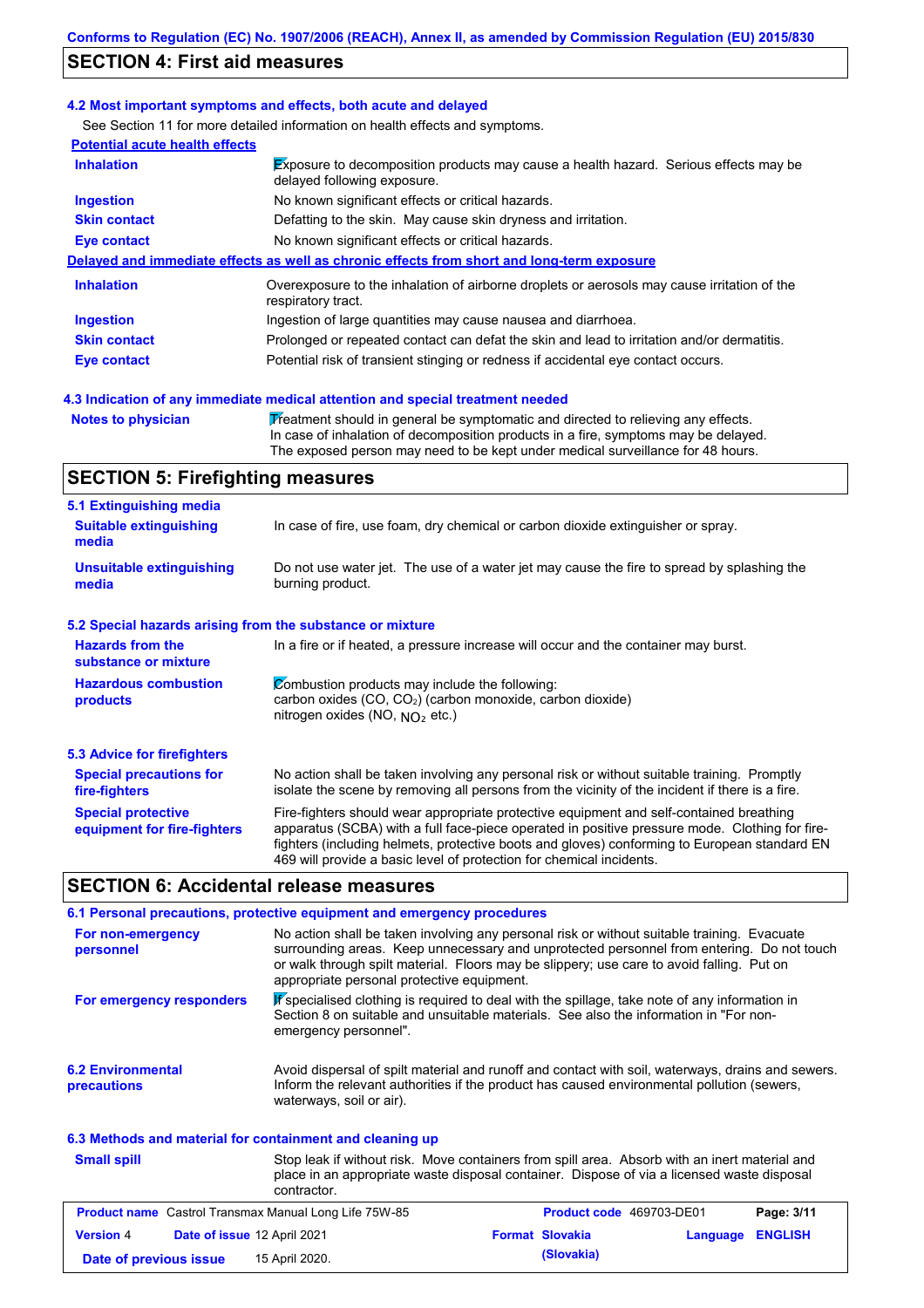## **SECTION 4: First aid measures**

#### **4.2 Most important symptoms and effects, both acute and delayed**

See Section 11 for more detailed information on health effects and symptoms.

| <b>Potential acute health effects</b> |                                                                                                                     |
|---------------------------------------|---------------------------------------------------------------------------------------------------------------------|
| <b>Inhalation</b>                     | Exposure to decomposition products may cause a health hazard. Serious effects may be<br>delayed following exposure. |
| <b>Ingestion</b>                      | No known significant effects or critical hazards.                                                                   |
| <b>Skin contact</b>                   | Defatting to the skin. May cause skin dryness and irritation.                                                       |
| Eye contact                           | No known significant effects or critical hazards.                                                                   |
|                                       | Delayed and immediate effects as well as chronic effects from short and long-term exposure                          |
| <b>Inhalation</b>                     | Overexposure to the inhalation of airborne droplets or aerosols may cause irritation of the<br>respiratory tract.   |
| <b>Ingestion</b>                      | Ingestion of large quantities may cause nausea and diarrhoea.                                                       |
| <b>Skin contact</b>                   | Prolonged or repeated contact can defat the skin and lead to irritation and/or dermatitis.                          |
| Eye contact                           | Potential risk of transient stinging or redness if accidental eye contact occurs.                                   |

#### **4.3 Indication of any immediate medical attention and special treatment needed**

**Notes to physician** Treatment should in general be symptomatic and directed to relieving any effects. In case of inhalation of decomposition products in a fire, symptoms may be delayed. The exposed person may need to be kept under medical surveillance for 48 hours.

## **SECTION 5: Firefighting measures**

| 5.1 Extinguishing media                                                                                                                                                                                                                                                                                                                                                                                                       |                                                                                                                                                                                                |  |  |
|-------------------------------------------------------------------------------------------------------------------------------------------------------------------------------------------------------------------------------------------------------------------------------------------------------------------------------------------------------------------------------------------------------------------------------|------------------------------------------------------------------------------------------------------------------------------------------------------------------------------------------------|--|--|
| <b>Suitable extinguishing</b><br>media                                                                                                                                                                                                                                                                                                                                                                                        | In case of fire, use foam, dry chemical or carbon dioxide extinguisher or spray.                                                                                                               |  |  |
| <b>Unsuitable extinguishing</b><br>media                                                                                                                                                                                                                                                                                                                                                                                      | Do not use water jet. The use of a water jet may cause the fire to spread by splashing the<br>burning product.                                                                                 |  |  |
| 5.2 Special hazards arising from the substance or mixture                                                                                                                                                                                                                                                                                                                                                                     |                                                                                                                                                                                                |  |  |
| <b>Hazards from the</b><br>substance or mixture                                                                                                                                                                                                                                                                                                                                                                               | In a fire or if heated, a pressure increase will occur and the container may burst.                                                                                                            |  |  |
| Combustion products may include the following:<br><b>Hazardous combustion</b><br>carbon oxides (CO, CO <sub>2</sub> ) (carbon monoxide, carbon dioxide)<br>products<br>nitrogen oxides (NO, $NO2$ etc.)                                                                                                                                                                                                                       |                                                                                                                                                                                                |  |  |
| 5.3 Advice for firefighters                                                                                                                                                                                                                                                                                                                                                                                                   |                                                                                                                                                                                                |  |  |
| <b>Special precautions for</b><br>fire-fighters                                                                                                                                                                                                                                                                                                                                                                               | No action shall be taken involving any personal risk or without suitable training. Promptly<br>isolate the scene by removing all persons from the vicinity of the incident if there is a fire. |  |  |
| <b>Special protective</b><br>Fire-fighters should wear appropriate protective equipment and self-contained breathing<br>apparatus (SCBA) with a full face-piece operated in positive pressure mode. Clothing for fire-<br>equipment for fire-fighters<br>fighters (including helmets, protective boots and gloves) conforming to European standard EN<br>469 will provide a basic level of protection for chemical incidents. |                                                                                                                                                                                                |  |  |

### **SECTION 6: Accidental release measures**

|                                                          | 6.1 Personal precautions, protective equipment and emergency procedures                                                                                                                                                                                                                                                             |
|----------------------------------------------------------|-------------------------------------------------------------------------------------------------------------------------------------------------------------------------------------------------------------------------------------------------------------------------------------------------------------------------------------|
| For non-emergency<br>personnel                           | No action shall be taken involving any personal risk or without suitable training. Evacuate<br>surrounding areas. Keep unnecessary and unprotected personnel from entering. Do not touch<br>or walk through spilt material. Floors may be slippery; use care to avoid falling. Put on<br>appropriate personal protective equipment. |
| For emergency responders                                 | K specialised clothing is required to deal with the spillage, take note of any information in<br>Section 8 on suitable and unsuitable materials. See also the information in "For non-<br>emergency personnel".                                                                                                                     |
| <b>6.2 Environmental</b><br>precautions                  | Avoid dispersal of spilt material and runoff and contact with soil, waterways, drains and sewers.<br>Inform the relevant authorities if the product has caused environmental pollution (sewers,<br>waterways, soil or air).                                                                                                         |
| 6.3 Methods and material for containment and cleaning up |                                                                                                                                                                                                                                                                                                                                     |

| <b>Small spill</b>     | contractor.                                                  | Stop leak if without risk. Move containers from spill area. Absorb with an inert material and<br>place in an appropriate waste disposal container. Dispose of via a licensed waste disposal |                         |  |  |
|------------------------|--------------------------------------------------------------|---------------------------------------------------------------------------------------------------------------------------------------------------------------------------------------------|-------------------------|--|--|
|                        | <b>Product name</b> Castrol Transmax Manual Long Life 75W-85 | Product code 469703-DE01                                                                                                                                                                    | Page: 3/11              |  |  |
| <b>Version 4</b>       | Date of issue 12 April 2021                                  | <b>Format Slovakia</b>                                                                                                                                                                      | <b>Language ENGLISH</b> |  |  |
| Date of previous issue | 15 April 2020.                                               | (Slovakia)                                                                                                                                                                                  |                         |  |  |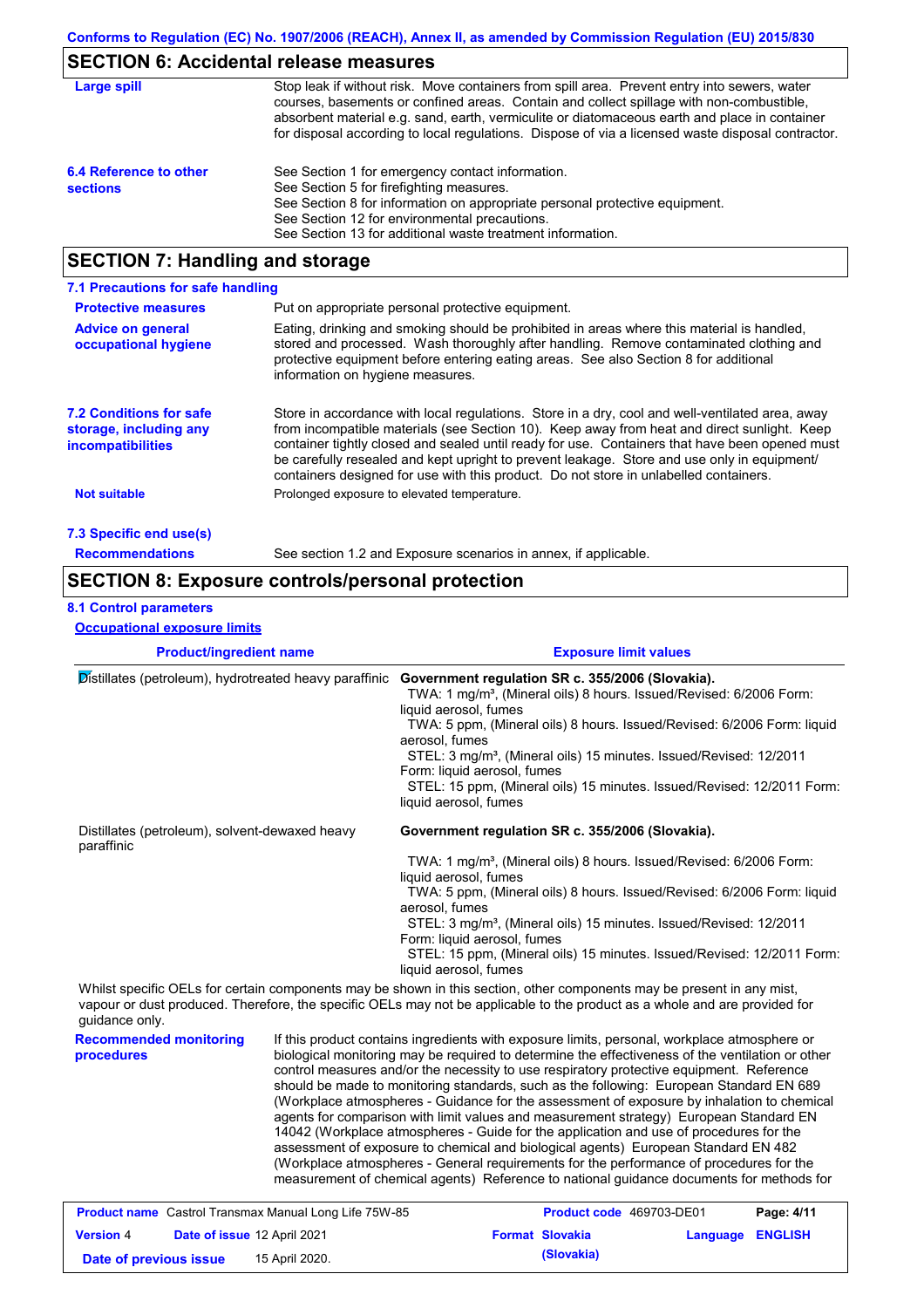# **SECTION 6: Accidental release measures**

| Large spill                               | Stop leak if without risk. Move containers from spill area. Prevent entry into sewers, water<br>courses, basements or confined areas. Contain and collect spillage with non-combustible,<br>absorbent material e.g. sand, earth, vermiculite or diatomaceous earth and place in container<br>for disposal according to local regulations. Dispose of via a licensed waste disposal contractor. |
|-------------------------------------------|------------------------------------------------------------------------------------------------------------------------------------------------------------------------------------------------------------------------------------------------------------------------------------------------------------------------------------------------------------------------------------------------|
| 6.4 Reference to other<br><b>sections</b> | See Section 1 for emergency contact information.<br>See Section 5 for firefighting measures.<br>See Section 8 for information on appropriate personal protective equipment.<br>See Section 12 for environmental precautions.<br>See Section 13 for additional waste treatment information.                                                                                                     |

## **SECTION 7: Handling and storage**

| 7.1 Precautions for safe handling                                                    |                                                                                                                                                                                                                                                                                                                                                                                                                                                                                          |
|--------------------------------------------------------------------------------------|------------------------------------------------------------------------------------------------------------------------------------------------------------------------------------------------------------------------------------------------------------------------------------------------------------------------------------------------------------------------------------------------------------------------------------------------------------------------------------------|
| <b>Protective measures</b>                                                           | Put on appropriate personal protective equipment.                                                                                                                                                                                                                                                                                                                                                                                                                                        |
| <b>Advice on general</b><br>occupational hygiene                                     | Eating, drinking and smoking should be prohibited in areas where this material is handled.<br>stored and processed. Wash thoroughly after handling. Remove contaminated clothing and<br>protective equipment before entering eating areas. See also Section 8 for additional<br>information on hygiene measures.                                                                                                                                                                         |
| <b>7.2 Conditions for safe</b><br>storage, including any<br><i>incompatibilities</i> | Store in accordance with local regulations. Store in a dry, cool and well-ventilated area, away<br>from incompatible materials (see Section 10). Keep away from heat and direct sunlight. Keep<br>container tightly closed and sealed until ready for use. Containers that have been opened must<br>be carefully resealed and kept upright to prevent leakage. Store and use only in equipment/<br>containers designed for use with this product. Do not store in unlabelled containers. |
| Not suitable                                                                         | Prolonged exposure to elevated temperature.                                                                                                                                                                                                                                                                                                                                                                                                                                              |
| 7.3 Specific end use(s)                                                              |                                                                                                                                                                                                                                                                                                                                                                                                                                                                                          |
| <b>Recommendations</b>                                                               | See section 1.2 and Exposure scenarios in annex, if applicable.                                                                                                                                                                                                                                                                                                                                                                                                                          |

### **SECTION 8: Exposure controls/personal protection**

#### **8.1 Control parameters**

**Occupational exposure limits**

| <b>Product/ingredient name</b>                               |  | <b>Exposure limit values</b>                                                                                                                                                                                                                                                                                                                                                                                                                                                                                                                                                    |
|--------------------------------------------------------------|--|---------------------------------------------------------------------------------------------------------------------------------------------------------------------------------------------------------------------------------------------------------------------------------------------------------------------------------------------------------------------------------------------------------------------------------------------------------------------------------------------------------------------------------------------------------------------------------|
| Distillates (petroleum), hydrotreated heavy paraffinic       |  | Government regulation SR c. 355/2006 (Slovakia).<br>TWA: 1 mg/m <sup>3</sup> , (Mineral oils) 8 hours. Issued/Revised: 6/2006 Form:<br>liquid aerosol, fumes<br>TWA: 5 ppm, (Mineral oils) 8 hours. Issued/Revised: 6/2006 Form: liquid<br>aerosol, fumes<br>STEL: 3 mg/m <sup>3</sup> , (Mineral oils) 15 minutes. Issued/Revised: 12/2011<br>Form: liquid aerosol, fumes<br>STEL: 15 ppm, (Mineral oils) 15 minutes. Issued/Revised: 12/2011 Form:<br>liquid aerosol, fumes                                                                                                   |
| Distillates (petroleum), solvent-dewaxed heavy<br>paraffinic |  | Government regulation SR c. 355/2006 (Slovakia).                                                                                                                                                                                                                                                                                                                                                                                                                                                                                                                                |
|                                                              |  | TWA: 1 mg/m <sup>3</sup> , (Mineral oils) 8 hours. Issued/Revised: 6/2006 Form:                                                                                                                                                                                                                                                                                                                                                                                                                                                                                                 |
|                                                              |  | liquid aerosol, fumes<br>TWA: 5 ppm, (Mineral oils) 8 hours. Issued/Revised: 6/2006 Form: liquid<br>aerosol, fumes                                                                                                                                                                                                                                                                                                                                                                                                                                                              |
|                                                              |  | STEL: 3 mg/m <sup>3</sup> , (Mineral oils) 15 minutes. Issued/Revised: 12/2011                                                                                                                                                                                                                                                                                                                                                                                                                                                                                                  |
|                                                              |  | Form: liquid aerosol, fumes<br>STEL: 15 ppm, (Mineral oils) 15 minutes. Issued/Revised: 12/2011 Form:<br>liquid aerosol, fumes                                                                                                                                                                                                                                                                                                                                                                                                                                                  |
| guidance only.                                               |  | Whilst specific OELs for certain components may be shown in this section, other components may be present in any mist,<br>vapour or dust produced. Therefore, the specific OELs may not be applicable to the product as a whole and are provided for                                                                                                                                                                                                                                                                                                                            |
| <b>Recommended monitoring</b><br>procedures                  |  | If this product contains ingredients with exposure limits, personal, workplace atmosphere or<br>biological monitoring may be required to determine the effectiveness of the ventilation or other<br>control measures and/or the necessity to use respiratory protective equipment. Reference<br>should be made to monitoring standards, such as the following: European Standard EN 689<br>(Workplace atmospheres - Guidance for the assessment of exposure by inhalation to chemical<br>agents for comparison with limit values and measurement strategy) European Standard EN |

14042 (Workplace atmospheres - Guide for the application and use of procedures for the assessment of exposure to chemical and biological agents) European Standard EN 482 (Workplace atmospheres - General requirements for the performance of procedures for the measurement of chemical agents) Reference to national guidance documents for methods for

|                        | <b>Product name</b> Castrol Transmax Manual Long Life 75W-85 | <b>Product code</b> 469703-DE01 |                         | Page: 4/11 |
|------------------------|--------------------------------------------------------------|---------------------------------|-------------------------|------------|
| <b>Version 4</b>       | Date of issue 12 April 2021                                  | <b>Format Slovakia</b>          | <b>Language ENGLISH</b> |            |
| Date of previous issue | 15 April 2020.                                               | (Slovakia)                      |                         |            |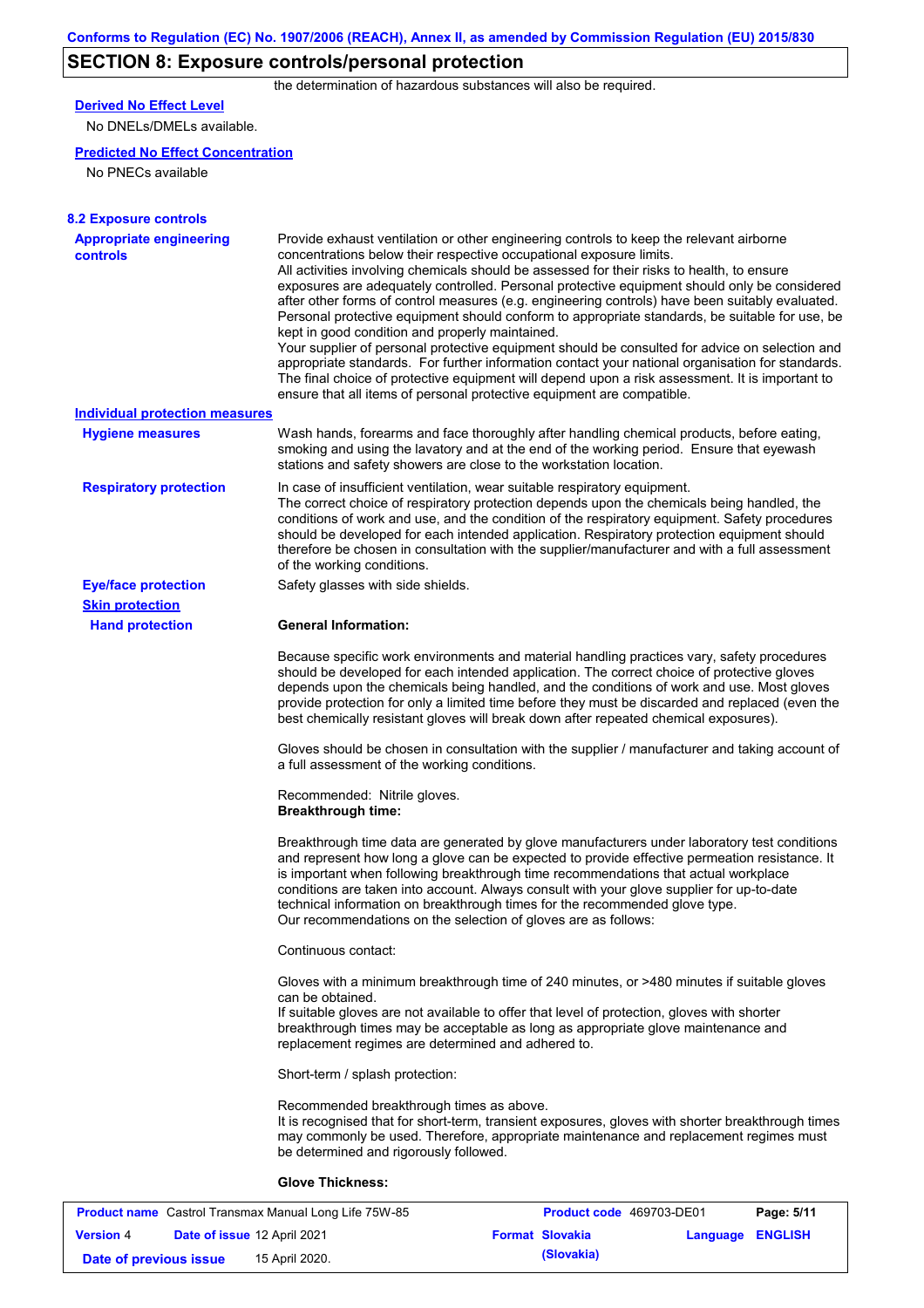# **SECTION 8: Exposure controls/personal protection**

the determination of hazardous substances will also be required.

## **Derived No Effect Level**

No DNELs/DMELs available.

#### **Predicted No Effect Concentration**

No PNECs available

| <b>8.2 Exposure controls</b>                      |                                                                                                                                                                                                                                                                                                                                                                                                                                                                                                                                                                                                                                                                                                                                                                                                                                                                                                                                                                                                         |
|---------------------------------------------------|---------------------------------------------------------------------------------------------------------------------------------------------------------------------------------------------------------------------------------------------------------------------------------------------------------------------------------------------------------------------------------------------------------------------------------------------------------------------------------------------------------------------------------------------------------------------------------------------------------------------------------------------------------------------------------------------------------------------------------------------------------------------------------------------------------------------------------------------------------------------------------------------------------------------------------------------------------------------------------------------------------|
| <b>Appropriate engineering</b><br><b>controls</b> | Provide exhaust ventilation or other engineering controls to keep the relevant airborne<br>concentrations below their respective occupational exposure limits.<br>All activities involving chemicals should be assessed for their risks to health, to ensure<br>exposures are adequately controlled. Personal protective equipment should only be considered<br>after other forms of control measures (e.g. engineering controls) have been suitably evaluated.<br>Personal protective equipment should conform to appropriate standards, be suitable for use, be<br>kept in good condition and properly maintained.<br>Your supplier of personal protective equipment should be consulted for advice on selection and<br>appropriate standards. For further information contact your national organisation for standards.<br>The final choice of protective equipment will depend upon a risk assessment. It is important to<br>ensure that all items of personal protective equipment are compatible. |
| <b>Individual protection measures</b>             |                                                                                                                                                                                                                                                                                                                                                                                                                                                                                                                                                                                                                                                                                                                                                                                                                                                                                                                                                                                                         |
| <b>Hygiene measures</b>                           | Wash hands, forearms and face thoroughly after handling chemical products, before eating,<br>smoking and using the lavatory and at the end of the working period. Ensure that eyewash<br>stations and safety showers are close to the workstation location.                                                                                                                                                                                                                                                                                                                                                                                                                                                                                                                                                                                                                                                                                                                                             |
| <b>Respiratory protection</b>                     | In case of insufficient ventilation, wear suitable respiratory equipment.<br>The correct choice of respiratory protection depends upon the chemicals being handled, the<br>conditions of work and use, and the condition of the respiratory equipment. Safety procedures<br>should be developed for each intended application. Respiratory protection equipment should<br>therefore be chosen in consultation with the supplier/manufacturer and with a full assessment<br>of the working conditions.                                                                                                                                                                                                                                                                                                                                                                                                                                                                                                   |
| <b>Eye/face protection</b>                        | Safety glasses with side shields.                                                                                                                                                                                                                                                                                                                                                                                                                                                                                                                                                                                                                                                                                                                                                                                                                                                                                                                                                                       |
| <b>Skin protection</b>                            |                                                                                                                                                                                                                                                                                                                                                                                                                                                                                                                                                                                                                                                                                                                                                                                                                                                                                                                                                                                                         |
| <b>Hand protection</b>                            | <b>General Information:</b>                                                                                                                                                                                                                                                                                                                                                                                                                                                                                                                                                                                                                                                                                                                                                                                                                                                                                                                                                                             |
|                                                   | Because specific work environments and material handling practices vary, safety procedures<br>should be developed for each intended application. The correct choice of protective gloves<br>depends upon the chemicals being handled, and the conditions of work and use. Most gloves<br>provide protection for only a limited time before they must be discarded and replaced (even the<br>best chemically resistant gloves will break down after repeated chemical exposures).                                                                                                                                                                                                                                                                                                                                                                                                                                                                                                                        |
|                                                   | Gloves should be chosen in consultation with the supplier / manufacturer and taking account of<br>a full assessment of the working conditions.                                                                                                                                                                                                                                                                                                                                                                                                                                                                                                                                                                                                                                                                                                                                                                                                                                                          |
|                                                   | Recommended: Nitrile gloves.<br><b>Breakthrough time:</b>                                                                                                                                                                                                                                                                                                                                                                                                                                                                                                                                                                                                                                                                                                                                                                                                                                                                                                                                               |
|                                                   | Breakthrough time data are generated by glove manufacturers under laboratory test conditions<br>and represent how long a glove can be expected to provide effective permeation resistance. It<br>is important when following breakthrough time recommendations that actual workplace<br>conditions are taken into account. Always consult with your glove supplier for up-to-date<br>technical information on breakthrough times for the recommended glove type.<br>Our recommendations on the selection of gloves are as follows:                                                                                                                                                                                                                                                                                                                                                                                                                                                                      |
|                                                   | Continuous contact:                                                                                                                                                                                                                                                                                                                                                                                                                                                                                                                                                                                                                                                                                                                                                                                                                                                                                                                                                                                     |
|                                                   | Gloves with a minimum breakthrough time of 240 minutes, or >480 minutes if suitable gloves<br>can be obtained.<br>If suitable gloves are not available to offer that level of protection, gloves with shorter<br>breakthrough times may be acceptable as long as appropriate glove maintenance and<br>replacement regimes are determined and adhered to.                                                                                                                                                                                                                                                                                                                                                                                                                                                                                                                                                                                                                                                |
|                                                   | Short-term / splash protection:                                                                                                                                                                                                                                                                                                                                                                                                                                                                                                                                                                                                                                                                                                                                                                                                                                                                                                                                                                         |
|                                                   | Recommended breakthrough times as above.<br>It is recognised that for short-term, transient exposures, gloves with shorter breakthrough times<br>may commonly be used. Therefore, appropriate maintenance and replacement regimes must<br>be determined and rigorously followed.                                                                                                                                                                                                                                                                                                                                                                                                                                                                                                                                                                                                                                                                                                                        |
|                                                   | <b>Glove Thickness:</b>                                                                                                                                                                                                                                                                                                                                                                                                                                                                                                                                                                                                                                                                                                                                                                                                                                                                                                                                                                                 |

| <b>Product name</b> Castrol Transmax Manual Long Life 75W-85 |  | <b>Product code</b> 469703-DE01    |                        | Page: 5/11       |  |
|--------------------------------------------------------------|--|------------------------------------|------------------------|------------------|--|
| <b>Version 4</b>                                             |  | <b>Date of issue 12 April 2021</b> | <b>Format Slovakia</b> | Language ENGLISH |  |
| Date of previous issue                                       |  | 15 April 2020.                     | (Slovakia)             |                  |  |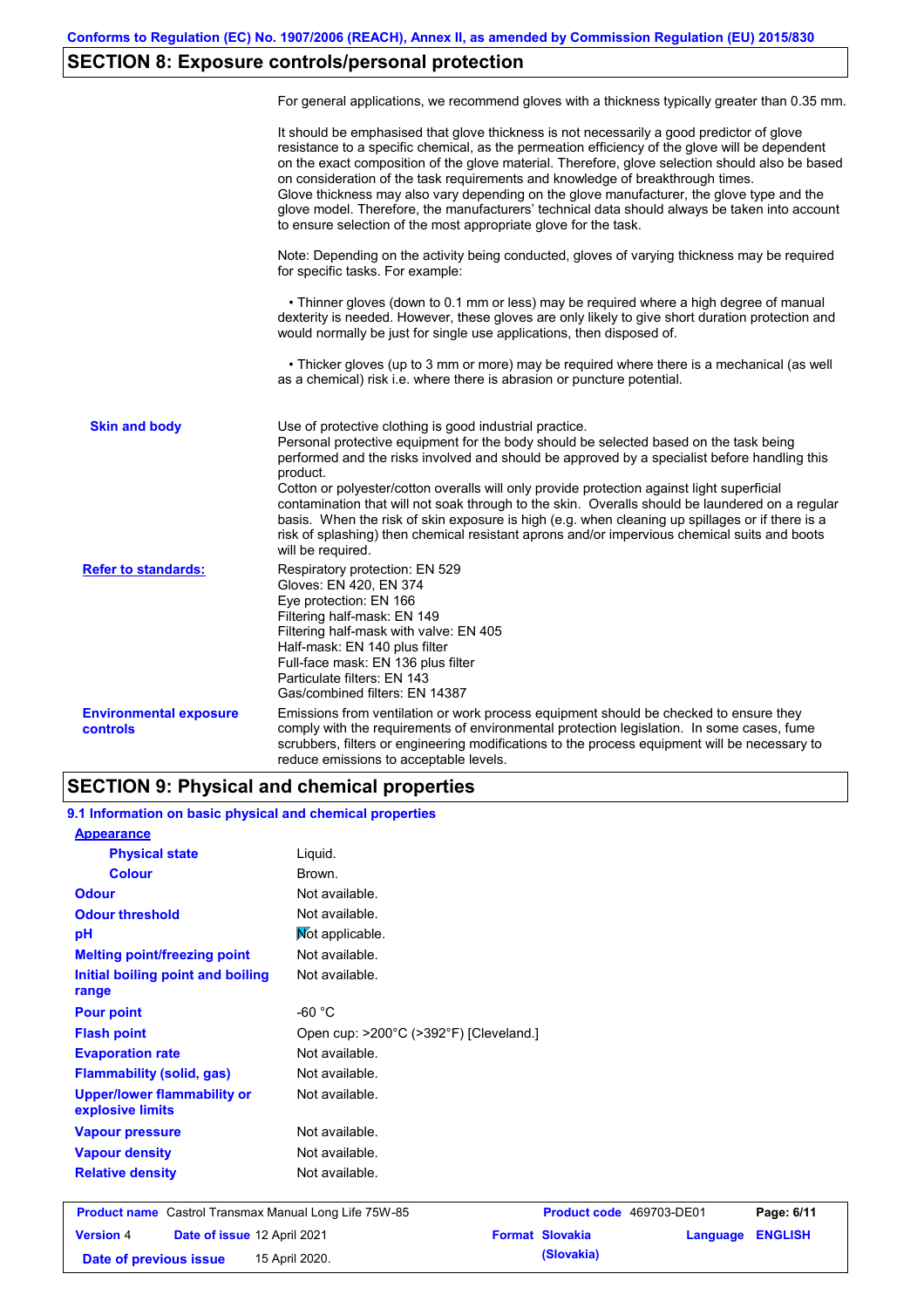# **SECTION 8: Exposure controls/personal protection**

|                                                  | For general applications, we recommend gloves with a thickness typically greater than 0.35 mm.                                                                                                                                                                                                                                                                                                                                                                                                                                                                                                                                                                                        |
|--------------------------------------------------|---------------------------------------------------------------------------------------------------------------------------------------------------------------------------------------------------------------------------------------------------------------------------------------------------------------------------------------------------------------------------------------------------------------------------------------------------------------------------------------------------------------------------------------------------------------------------------------------------------------------------------------------------------------------------------------|
|                                                  | It should be emphasised that glove thickness is not necessarily a good predictor of glove<br>resistance to a specific chemical, as the permeation efficiency of the glove will be dependent<br>on the exact composition of the glove material. Therefore, glove selection should also be based<br>on consideration of the task requirements and knowledge of breakthrough times.<br>Glove thickness may also vary depending on the glove manufacturer, the glove type and the<br>glove model. Therefore, the manufacturers' technical data should always be taken into account<br>to ensure selection of the most appropriate glove for the task.                                     |
|                                                  | Note: Depending on the activity being conducted, gloves of varying thickness may be required<br>for specific tasks. For example:                                                                                                                                                                                                                                                                                                                                                                                                                                                                                                                                                      |
|                                                  | • Thinner gloves (down to 0.1 mm or less) may be required where a high degree of manual<br>dexterity is needed. However, these gloves are only likely to give short duration protection and<br>would normally be just for single use applications, then disposed of.                                                                                                                                                                                                                                                                                                                                                                                                                  |
|                                                  | • Thicker gloves (up to 3 mm or more) may be required where there is a mechanical (as well<br>as a chemical) risk i.e. where there is abrasion or puncture potential.                                                                                                                                                                                                                                                                                                                                                                                                                                                                                                                 |
| <b>Skin and body</b>                             | Use of protective clothing is good industrial practice.<br>Personal protective equipment for the body should be selected based on the task being<br>performed and the risks involved and should be approved by a specialist before handling this<br>product.<br>Cotton or polyester/cotton overalls will only provide protection against light superficial<br>contamination that will not soak through to the skin. Overalls should be laundered on a regular<br>basis. When the risk of skin exposure is high (e.g. when cleaning up spillages or if there is a<br>risk of splashing) then chemical resistant aprons and/or impervious chemical suits and boots<br>will be required. |
| <b>Refer to standards:</b>                       | Respiratory protection: EN 529<br>Gloves: EN 420, EN 374<br>Eye protection: EN 166<br>Filtering half-mask: EN 149<br>Filtering half-mask with valve: EN 405<br>Half-mask: EN 140 plus filter<br>Full-face mask: EN 136 plus filter<br>Particulate filters: EN 143<br>Gas/combined filters: EN 14387                                                                                                                                                                                                                                                                                                                                                                                   |
| <b>Environmental exposure</b><br><b>controls</b> | Emissions from ventilation or work process equipment should be checked to ensure they<br>comply with the requirements of environmental protection legislation. In some cases, fume<br>scrubbers, filters or engineering modifications to the process equipment will be necessary to<br>reduce emissions to acceptable levels.                                                                                                                                                                                                                                                                                                                                                         |

### **SECTION 9: Physical and chemical properties**

**9.1 Information on basic physical and chemical properties**

| <b>Appearance</b>                                      |                                                                                        |                        |                          |                |  |
|--------------------------------------------------------|----------------------------------------------------------------------------------------|------------------------|--------------------------|----------------|--|
| <b>Physical state</b>                                  | Liquid.                                                                                |                        |                          |                |  |
| <b>Colour</b>                                          | Brown.                                                                                 |                        |                          |                |  |
| <b>Odour</b>                                           | Not available.                                                                         |                        |                          |                |  |
| <b>Odour threshold</b>                                 | Not available.                                                                         |                        |                          |                |  |
| pH                                                     | Mot applicable.                                                                        |                        |                          |                |  |
| <b>Melting point/freezing point</b>                    | Not available.                                                                         |                        |                          |                |  |
| Initial boiling point and boiling<br>range             | Not available.                                                                         |                        |                          |                |  |
| <b>Pour point</b>                                      | $-60 °C$<br>Open cup: >200°C (>392°F) [Cleveland.]<br>Not available.<br>Not available. |                        |                          |                |  |
| <b>Flash point</b>                                     |                                                                                        |                        |                          |                |  |
| <b>Evaporation rate</b>                                |                                                                                        |                        |                          |                |  |
| <b>Flammability (solid, gas)</b>                       |                                                                                        |                        |                          |                |  |
| <b>Upper/lower flammability or</b><br>explosive limits | Not available.                                                                         |                        |                          |                |  |
| <b>Vapour pressure</b>                                 | Not available.                                                                         |                        |                          |                |  |
| <b>Vapour density</b>                                  | Not available.                                                                         |                        |                          |                |  |
| <b>Relative density</b>                                | Not available.                                                                         |                        |                          |                |  |
| Product name Castrol Transmax Manual Long Life 75W-85  |                                                                                        |                        | Product code 469703-DE01 | Page: 6/11     |  |
| <b>Version 4</b><br>Date of issue 12 April 2021        |                                                                                        | <b>Format Slovakia</b> | Language                 | <b>ENGLISH</b> |  |
| Date of previous issue                                 | 15 April 2020.                                                                         | (Slovakia)             |                          |                |  |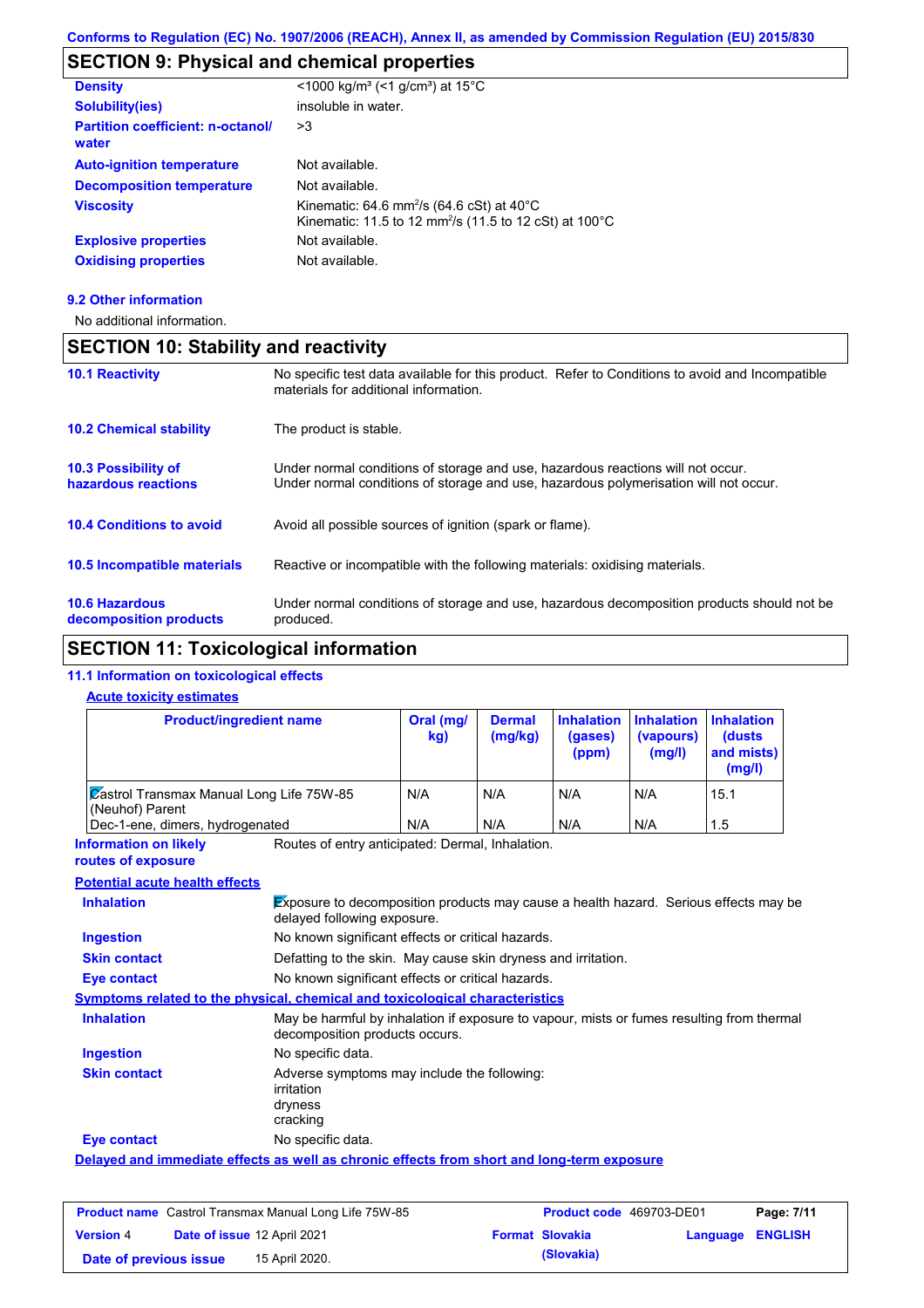# **SECTION 9: Physical and chemical properties**

| <b>Density</b>                                    | <1000 kg/m <sup>3</sup> (<1 g/cm <sup>3</sup> ) at 15°C                                                                               |
|---------------------------------------------------|---------------------------------------------------------------------------------------------------------------------------------------|
| <b>Solubility(ies)</b>                            | insoluble in water.                                                                                                                   |
| <b>Partition coefficient: n-octanol/</b><br>water | >3                                                                                                                                    |
| <b>Auto-ignition temperature</b>                  | Not available.                                                                                                                        |
| <b>Decomposition temperature</b>                  | Not available.                                                                                                                        |
| <b>Viscosity</b>                                  | Kinematic: 64.6 mm <sup>2</sup> /s (64.6 cSt) at $40^{\circ}$ C<br>Kinematic: 11.5 to 12 mm <sup>2</sup> /s (11.5 to 12 cSt) at 100°C |
| <b>Explosive properties</b>                       | Not available.                                                                                                                        |
| <b>Oxidising properties</b>                       | Not available.                                                                                                                        |
|                                                   |                                                                                                                                       |

#### **9.2 Other information**

No additional information.

| <b>SECTION 10: Stability and reactivity</b>       |                                                                                                                                                                         |  |  |
|---------------------------------------------------|-------------------------------------------------------------------------------------------------------------------------------------------------------------------------|--|--|
| <b>10.1 Reactivity</b>                            | No specific test data available for this product. Refer to Conditions to avoid and Incompatible<br>materials for additional information.                                |  |  |
| <b>10.2 Chemical stability</b>                    | The product is stable.                                                                                                                                                  |  |  |
| <b>10.3 Possibility of</b><br>hazardous reactions | Under normal conditions of storage and use, hazardous reactions will not occur.<br>Under normal conditions of storage and use, hazardous polymerisation will not occur. |  |  |
| <b>10.4 Conditions to avoid</b>                   | Avoid all possible sources of ignition (spark or flame).                                                                                                                |  |  |
| <b>10.5 Incompatible materials</b>                | Reactive or incompatible with the following materials: oxidising materials.                                                                                             |  |  |
| <b>10.6 Hazardous</b><br>decomposition products   | Under normal conditions of storage and use, hazardous decomposition products should not be<br>produced.                                                                 |  |  |

# **SECTION 11: Toxicological information**

## **11.1 Information on toxicological effects**

#### **Acute toxicity estimates**

| <b>Product/ingredient name</b>                                                             |                                                                                                                             | Oral (mg/<br>kg) | <b>Dermal</b><br>(mg/kg) | <b>Inhalation</b><br>(gases)<br>(ppm) | <b>Inhalation</b><br>(vapours)<br>(mg/l) | <b>Inhalation</b><br>(dusts<br>and mists)<br>(mg/l) |
|--------------------------------------------------------------------------------------------|-----------------------------------------------------------------------------------------------------------------------------|------------------|--------------------------|---------------------------------------|------------------------------------------|-----------------------------------------------------|
| <b>Zastrol Transmax Manual Long Life 75W-85</b><br>(Neuhof) Parent                         |                                                                                                                             | N/A              | N/A                      | N/A                                   | N/A                                      | 15.1                                                |
| Dec-1-ene, dimers, hydrogenated                                                            |                                                                                                                             | N/A              | N/A                      | N/A                                   | N/A                                      | 1.5                                                 |
| <b>Information on likely</b><br>routes of exposure                                         | Routes of entry anticipated: Dermal, Inhalation.                                                                            |                  |                          |                                       |                                          |                                                     |
| <b>Potential acute health effects</b>                                                      |                                                                                                                             |                  |                          |                                       |                                          |                                                     |
| <b>Inhalation</b>                                                                          | Exposure to decomposition products may cause a health hazard. Serious effects may be<br>delayed following exposure.         |                  |                          |                                       |                                          |                                                     |
| <b>Ingestion</b>                                                                           | No known significant effects or critical hazards.                                                                           |                  |                          |                                       |                                          |                                                     |
| <b>Skin contact</b>                                                                        | Defatting to the skin. May cause skin dryness and irritation.                                                               |                  |                          |                                       |                                          |                                                     |
| Eye contact                                                                                | No known significant effects or critical hazards.                                                                           |                  |                          |                                       |                                          |                                                     |
| Symptoms related to the physical, chemical and toxicological characteristics               |                                                                                                                             |                  |                          |                                       |                                          |                                                     |
| <b>Inhalation</b>                                                                          | May be harmful by inhalation if exposure to vapour, mists or fumes resulting from thermal<br>decomposition products occurs. |                  |                          |                                       |                                          |                                                     |
| <b>Ingestion</b>                                                                           | No specific data.                                                                                                           |                  |                          |                                       |                                          |                                                     |
| <b>Skin contact</b>                                                                        | Adverse symptoms may include the following:<br>irritation<br>dryness<br>cracking                                            |                  |                          |                                       |                                          |                                                     |
| <b>Eye contact</b>                                                                         | No specific data.                                                                                                           |                  |                          |                                       |                                          |                                                     |
| Delayed and immediate effects as well as chronic effects from short and long-term exposure |                                                                                                                             |                  |                          |                                       |                                          |                                                     |

|                        | <b>Product name</b> Castrol Transmax Manual Long Life 75W-85 | <b>Product code</b> 469703-DE01 |                  | Page: 7/11 |
|------------------------|--------------------------------------------------------------|---------------------------------|------------------|------------|
| <b>Version 4</b>       | Date of issue 12 April 2021                                  | <b>Format Slovakia</b>          | Language ENGLISH |            |
| Date of previous issue | 15 April 2020.                                               | (Slovakia)                      |                  |            |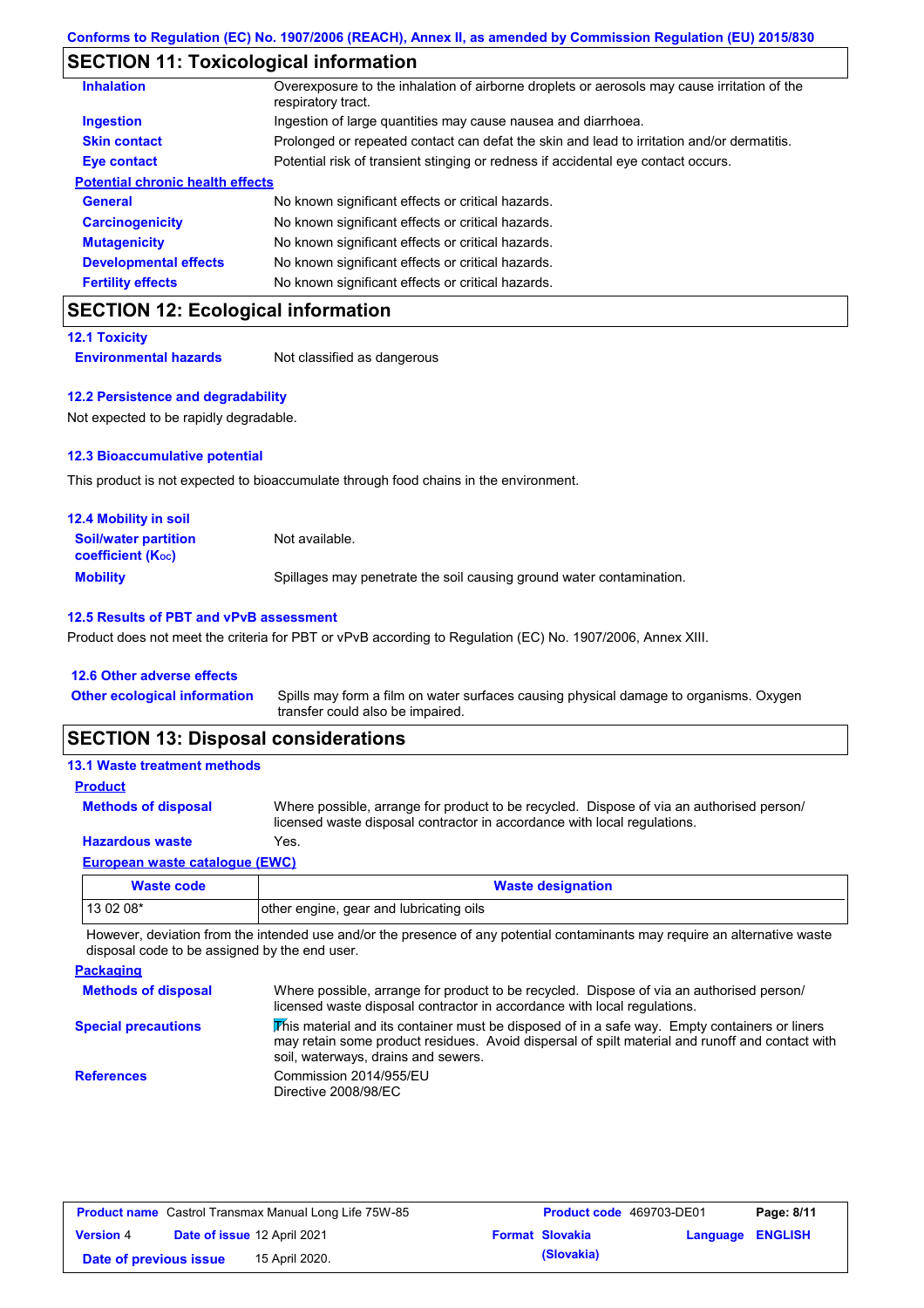# **SECTION 11: Toxicological information**

| <b>Inhalation</b>                       | Overexposure to the inhalation of airborne droplets or aerosols may cause irritation of the<br>respiratory tract. |
|-----------------------------------------|-------------------------------------------------------------------------------------------------------------------|
| <b>Ingestion</b>                        | Ingestion of large quantities may cause nausea and diarrhoea.                                                     |
| <b>Skin contact</b>                     | Prolonged or repeated contact can defat the skin and lead to irritation and/or dermatitis.                        |
| Eye contact                             | Potential risk of transient stinging or redness if accidental eye contact occurs.                                 |
| <b>Potential chronic health effects</b> |                                                                                                                   |
| <b>General</b>                          | No known significant effects or critical hazards.                                                                 |
| <b>Carcinogenicity</b>                  | No known significant effects or critical hazards.                                                                 |
| <b>Mutagenicity</b>                     | No known significant effects or critical hazards.                                                                 |
| <b>Developmental effects</b>            | No known significant effects or critical hazards.                                                                 |
| <b>Fertility effects</b>                | No known significant effects or critical hazards.                                                                 |

## **SECTION 12: Ecological information**

**12.1 Toxicity**

**Environmental hazards** Not classified as dangerous

#### **12.2 Persistence and degradability**

Not expected to be rapidly degradable.

#### **12.3 Bioaccumulative potential**

This product is not expected to bioaccumulate through food chains in the environment.

| <b>12.4 Mobility in soil</b>                                         |                                                                      |
|----------------------------------------------------------------------|----------------------------------------------------------------------|
| <b>Soil/water partition</b><br><b>coefficient</b> (K <sub>oc</sub> ) | Not available.                                                       |
| <b>Mobility</b>                                                      | Spillages may penetrate the soil causing ground water contamination. |

#### **12.5 Results of PBT and vPvB assessment**

Product does not meet the criteria for PBT or vPvB according to Regulation (EC) No. 1907/2006, Annex XIII.

#### **12.6 Other adverse effects**

| <b>Other ecological information</b> | Spills may form a film on water surfaces causing physical damage to organisms. Oxygen |
|-------------------------------------|---------------------------------------------------------------------------------------|
|                                     | transfer could also be impaired.                                                      |

## **SECTION 13: Disposal considerations**

#### **13.1 Waste treatment methods**

**Methods of disposal Product**

Where possible, arrange for product to be recycled. Dispose of via an authorised person/ licensed waste disposal contractor in accordance with local regulations.

### **Hazardous waste** Yes.

#### **European waste catalogue (EWC)**

| Waste code | <b>Waste designation</b>                |
|------------|-----------------------------------------|
| 13 02 08*  | other engine, gear and lubricating oils |

However, deviation from the intended use and/or the presence of any potential contaminants may require an alternative waste disposal code to be assigned by the end user.

| <b>Packaging</b>           |                                                                                                                                                                                                                                         |
|----------------------------|-----------------------------------------------------------------------------------------------------------------------------------------------------------------------------------------------------------------------------------------|
| <b>Methods of disposal</b> | Where possible, arrange for product to be recycled. Dispose of via an authorised person/<br>licensed waste disposal contractor in accordance with local regulations.                                                                    |
| <b>Special precautions</b> | This material and its container must be disposed of in a safe way. Empty containers or liners<br>may retain some product residues. Avoid dispersal of spilt material and runoff and contact with<br>soil, waterways, drains and sewers. |
| <b>References</b>          | Commission 2014/955/EU<br>Directive 2008/98/EC                                                                                                                                                                                          |

| <b>Product name</b> Castrol Transmax Manual Long Life 75W-85 |                             | <b>Product code</b> 469703-DE01 |  | Page: 8/11             |                         |  |
|--------------------------------------------------------------|-----------------------------|---------------------------------|--|------------------------|-------------------------|--|
| <b>Version 4</b>                                             | Date of issue 12 April 2021 |                                 |  | <b>Format Slovakia</b> | <b>Language ENGLISH</b> |  |
| Date of previous issue                                       |                             | 15 April 2020.                  |  | (Slovakia)             |                         |  |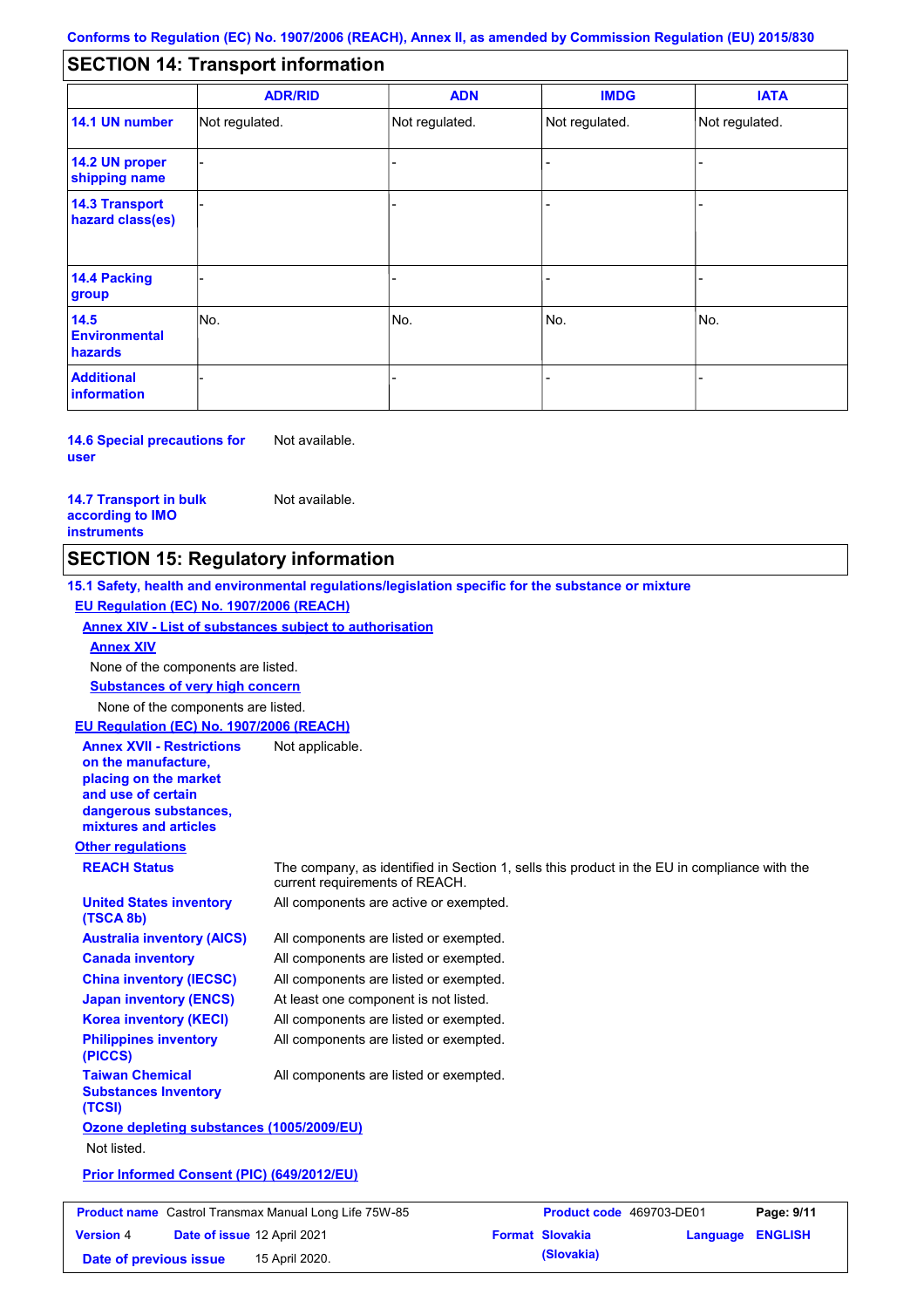#### - - - - - - - - - Not regulated. Not regulated. Not regulated. - - - **SECTION 14: Transport information ADR/RID IMDG IATA 14.1 UN number 14.2 UN proper shipping name 14.3 Transport hazard class(es) 14.4 Packing group ADN Additional information 14.5 Environmental hazards** No. 1988 | No. 1989 | No. 1989 | No. 1989 | No. 1989 | No. 1989 | No. 1989 | No. 1989 | No. 1989 | No. 1989 | Not regulated. - -<br>No. - -

**14.6 Special precautions for user** Not available.

**14.7 Transport in bulk according to IMO instruments**

**Version** 4

Not available.

## **SECTION 15: Regulatory information**

**Other regulations REACH Status** The company, as identified in Section 1, sells this product in the EU in compliance with the current requirements of REACH. **15.1 Safety, health and environmental regulations/legislation specific for the substance or mixture EU Regulation (EC) No. 1907/2006 (REACH) Annex XIV - List of substances subject to authorisation Substances of very high concern** None of the components are listed. All components are listed or exempted. All components are listed or exempted. All components are listed or exempted. At least one component is not listed. All components are active or exempted. All components are listed or exempted. All components are listed or exempted. **United States inventory (TSCA 8b) Australia inventory (AICS) Canada inventory China inventory (IECSC) Japan inventory (ENCS) Korea inventory (KECI) Philippines inventory (PICCS) Taiwan Chemical Substances Inventory (TCSI)** All components are listed or exempted. **Ozone depleting substances (1005/2009/EU)** Not listed. **Prior Informed Consent (PIC) (649/2012/EU)** None of the components are listed. **Annex XIV EU Regulation (EC) No. 1907/2006 (REACH) Annex XVII - Restrictions on the manufacture, placing on the market and use of certain dangerous substances, mixtures and articles** Not applicable. **Product name** Castrol Transmax Manual Long Life 75W-85 **Product code** 469703-DE01 **Page: 9/11** 

**Date of issue** 12 April 2021 **Format Slovakia Language ENGLISH Date of previous issue (Slovakia)** 15 April 2020.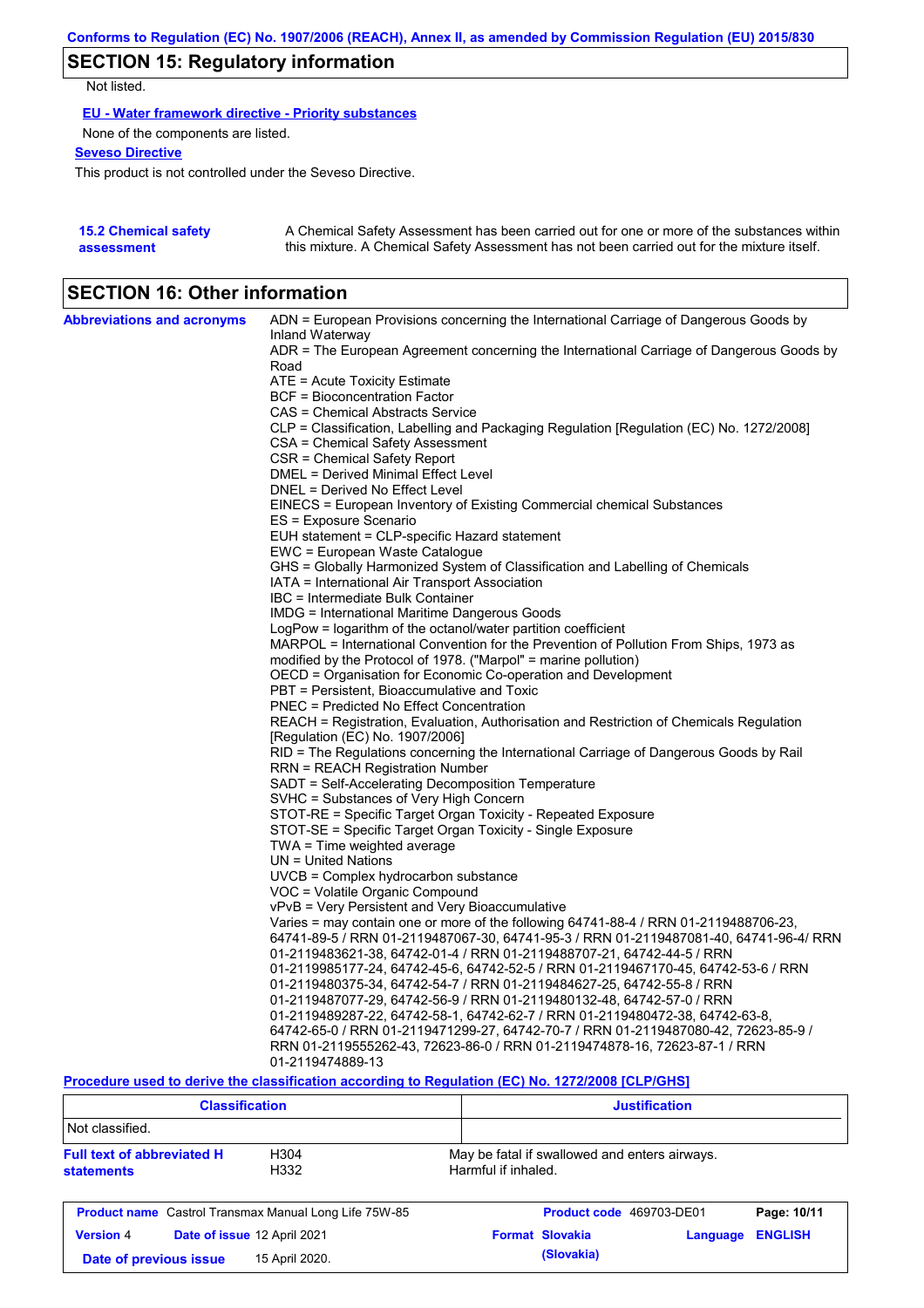# **SECTION 15: Regulatory information**

Not listed.

**EU - Water framework directive - Priority substances**

None of the components are listed.

**Seveso Directive**

This product is not controlled under the Seveso Directive.

| <b>15.2 Chemical safety</b> | A Chemical Safety Assessment has been carried out for one or more of the substances within  |
|-----------------------------|---------------------------------------------------------------------------------------------|
| assessment                  | this mixture. A Chemical Safety Assessment has not been carried out for the mixture itself. |

## **SECTION 16: Other information**

| <b>Abbreviations and acronyms</b> | ADN = European Provisions concerning the International Carriage of Dangerous Goods by                                        |
|-----------------------------------|------------------------------------------------------------------------------------------------------------------------------|
|                                   | Inland Waterway                                                                                                              |
|                                   | ADR = The European Agreement concerning the International Carriage of Dangerous Goods by                                     |
|                                   | Road                                                                                                                         |
|                                   | ATE = Acute Toxicity Estimate                                                                                                |
|                                   | <b>BCF</b> = Bioconcentration Factor                                                                                         |
|                                   | CAS = Chemical Abstracts Service<br>CLP = Classification, Labelling and Packaging Regulation [Regulation (EC) No. 1272/2008] |
|                                   |                                                                                                                              |
|                                   | CSA = Chemical Safety Assessment<br>CSR = Chemical Safety Report                                                             |
|                                   | DMEL = Derived Minimal Effect Level                                                                                          |
|                                   | DNEL = Derived No Effect Level                                                                                               |
|                                   | EINECS = European Inventory of Existing Commercial chemical Substances                                                       |
|                                   | ES = Exposure Scenario                                                                                                       |
|                                   | EUH statement = CLP-specific Hazard statement                                                                                |
|                                   | EWC = European Waste Catalogue                                                                                               |
|                                   | GHS = Globally Harmonized System of Classification and Labelling of Chemicals                                                |
|                                   | IATA = International Air Transport Association                                                                               |
|                                   | IBC = Intermediate Bulk Container                                                                                            |
|                                   | IMDG = International Maritime Dangerous Goods                                                                                |
|                                   | LogPow = logarithm of the octanol/water partition coefficient                                                                |
|                                   | MARPOL = International Convention for the Prevention of Pollution From Ships, 1973 as                                        |
|                                   | modified by the Protocol of 1978. ("Marpol" = marine pollution)                                                              |
|                                   | OECD = Organisation for Economic Co-operation and Development                                                                |
|                                   | PBT = Persistent, Bioaccumulative and Toxic                                                                                  |
|                                   | PNEC = Predicted No Effect Concentration                                                                                     |
|                                   | REACH = Registration, Evaluation, Authorisation and Restriction of Chemicals Regulation                                      |
|                                   | [Regulation (EC) No. 1907/2006]                                                                                              |
|                                   | RID = The Regulations concerning the International Carriage of Dangerous Goods by Rail                                       |
|                                   | RRN = REACH Registration Number                                                                                              |
|                                   | SADT = Self-Accelerating Decomposition Temperature                                                                           |
|                                   | SVHC = Substances of Very High Concern                                                                                       |
|                                   | STOT-RE = Specific Target Organ Toxicity - Repeated Exposure                                                                 |
|                                   | STOT-SE = Specific Target Organ Toxicity - Single Exposure                                                                   |
|                                   | TWA = Time weighted average                                                                                                  |
|                                   | $UN = United Nations$                                                                                                        |
|                                   | UVCB = Complex hydrocarbon substance                                                                                         |
|                                   | VOC = Volatile Organic Compound                                                                                              |
|                                   | vPvB = Very Persistent and Very Bioaccumulative                                                                              |
|                                   | Varies = may contain one or more of the following 64741-88-4 / RRN 01-2119488706-23,                                         |
|                                   | 64741-89-5 / RRN 01-2119487067-30, 64741-95-3 / RRN 01-2119487081-40, 64741-96-4/ RRN                                        |
|                                   | 01-2119483621-38, 64742-01-4 / RRN 01-2119488707-21, 64742-44-5 / RRN                                                        |
|                                   | 01-2119985177-24, 64742-45-6, 64742-52-5 / RRN 01-2119467170-45, 64742-53-6 / RRN                                            |
|                                   | 01-2119480375-34, 64742-54-7 / RRN 01-2119484627-25, 64742-55-8 / RRN                                                        |
|                                   | 01-2119487077-29, 64742-56-9 / RRN 01-2119480132-48, 64742-57-0 / RRN                                                        |
|                                   | 01-2119489287-22, 64742-58-1, 64742-62-7 / RRN 01-2119480472-38, 64742-63-8,                                                 |
|                                   | 64742-65-0 / RRN 01-2119471299-27, 64742-70-7 / RRN 01-2119487080-42, 72623-85-9 /                                           |
|                                   | RRN 01-2119555262-43, 72623-86-0 / RRN 01-2119474878-16, 72623-87-1 / RRN                                                    |
|                                   | 01-2119474889-13                                                                                                             |

**Procedure used to derive the classification according to Regulation (EC) No. 1272/2008 [CLP/GHS]**

| <b>Classification</b>                                                  |  |                                                                      | <b>Justification</b>     |          |                |
|------------------------------------------------------------------------|--|----------------------------------------------------------------------|--------------------------|----------|----------------|
| Not classified.                                                        |  |                                                                      |                          |          |                |
| <b>Full text of abbreviated H</b><br>H304<br>H332<br><b>statements</b> |  | May be fatal if swallowed and enters airways.<br>Harmful if inhaled. |                          |          |                |
| <b>Product name</b> Castrol Transmax Manual Long Life 75W-85           |  |                                                                      | Product code 469703-DE01 |          | Page: 10/11    |
| <b>Version 4</b><br>Date of issue 12 April 2021                        |  |                                                                      | <b>Format Slovakia</b>   | Language | <b>ENGLISH</b> |
| 15 April 2020.<br>Date of previous issue                               |  |                                                                      | (Slovakia)               |          |                |